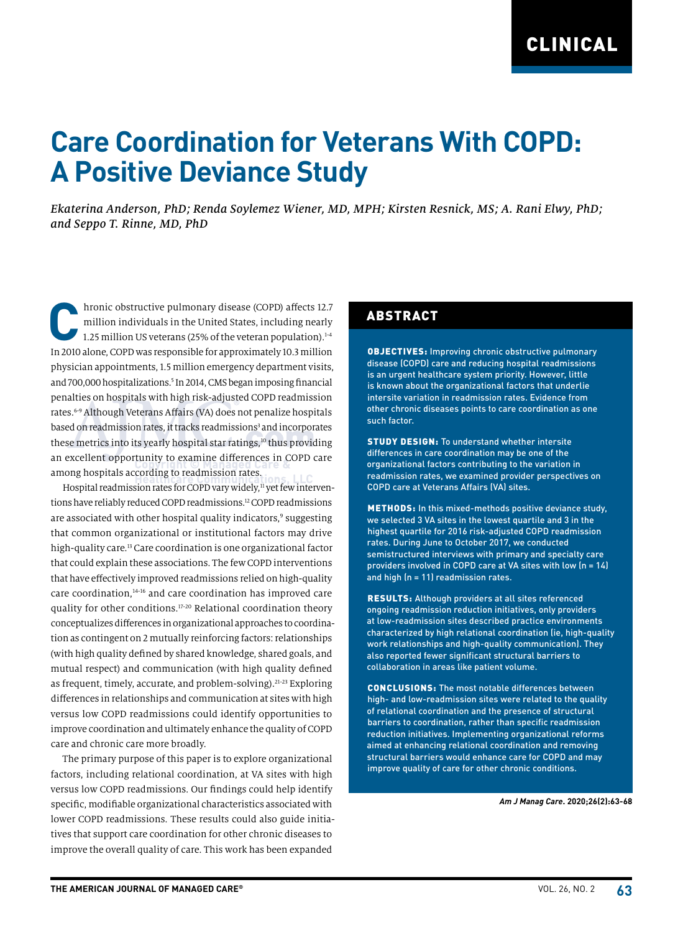# **Care Coordination for Veterans With COPD: A Positive Deviance Study**

*Ekaterina Anderson, PhD; Renda Soylemez Wiener, MD, MPH; Kirsten Resnick, MS; A. Rani Elwy, PhD; and Seppo T. Rinne, MD, PhD*

**C**hronic obstructive pulmonary disease (COPD) affects 12.7 million individuals in the United States, including nearly 1.25 million US veterans (25% of the veteran population). $1-4$ In 2010 alone, COPD was responsible for approximately 10.3 million physician appointments, 1.5 million emergency department visits, and 700,000 hospitalizations.<sup>5</sup> In 2014, CMS began imposing financial penalties on hospitals with high risk-adjusted COPD readmission rates.<sup>6-9</sup> Although Veterans Affairs (VA) does not penalize hospitals based on readmission rates, it tracks readmissions<sup>3</sup> and incorporates these metrics into its yearly hospital star ratings,<sup>10</sup> thus providing an excellent opportunity to examine differences in COPD care among hospitals according to readmission rates.

Hospital readmission rates for COPD vary widely,<sup>11</sup> yet few interventions have reliably reduced COPD readmissions.12 COPD readmissions are associated with other hospital quality indicators,<sup>9</sup> suggesting that common organizational or institutional factors may drive high-quality care.<sup>13</sup> Care coordination is one organizational factor that could explain these associations. The few COPD interventions that have effectively improved readmissions relied on high-quality care coordination,14-16 and care coordination has improved care quality for other conditions.17-20 Relational coordination theory conceptualizes differences in organizational approaches to coordination as contingent on 2 mutually reinforcing factors: relationships (with high quality defined by shared knowledge, shared goals, and mutual respect) and communication (with high quality defined as frequent, timely, accurate, and problem-solving).<sup>21-23</sup> Exploring differences in relationships and communication at sites with high versus low COPD readmissions could identify opportunities to improve coordination and ultimately enhance the quality of COPD care and chronic care more broadly.

The primary purpose of this paper is to explore organizational factors, including relational coordination, at VA sites with high versus low COPD readmissions. Our findings could help identify specific, modifiable organizational characteristics associated with lower COPD readmissions. These results could also guide initiatives that support care coordination for other chronic diseases to improve the overall quality of care. This work has been expanded

### ABSTRACT

OBJECTIVES: Improving chronic obstructive pulmonary disease (COPD) care and reducing hospital readmissions is an urgent healthcare system priority. However, little is known about the organizational factors that underlie intersite variation in readmission rates. Evidence from other chronic diseases points to care coordination as one such factor.

STUDY DESIGN: To understand whether intersite differences in care coordination may be one of the organizational factors contributing to the variation in readmission rates, we examined provider perspectives on COPD care at Veterans Affairs (VA) sites.

METHODS: In this mixed-methods positive deviance study, we selected 3 VA sites in the lowest quartile and 3 in the highest quartile for 2016 risk-adjusted COPD readmission rates. During June to October 2017, we conducted semistructured interviews with primary and specialty care providers involved in COPD care at VA sites with low (n = 14) and high (n = 11) readmission rates.

RESULTS: Although providers at all sites referenced ongoing readmission reduction initiatives, only providers at low-readmission sites described practice environments characterized by high relational coordination (ie, high-quality work relationships and high-quality communication). They also reported fewer significant structural barriers to collaboration in areas like patient volume.

CONCLUSIONS: The most notable differences between high- and low-readmission sites were related to the quality of relational coordination and the presence of structural barriers to coordination, rather than specific readmission reduction initiatives. Implementing organizational reforms aimed at enhancing relational coordination and removing structural barriers would enhance care for COPD and may improve quality of care for other chronic conditions.

*Am J Manag Care***. 2020;26(2):63-68**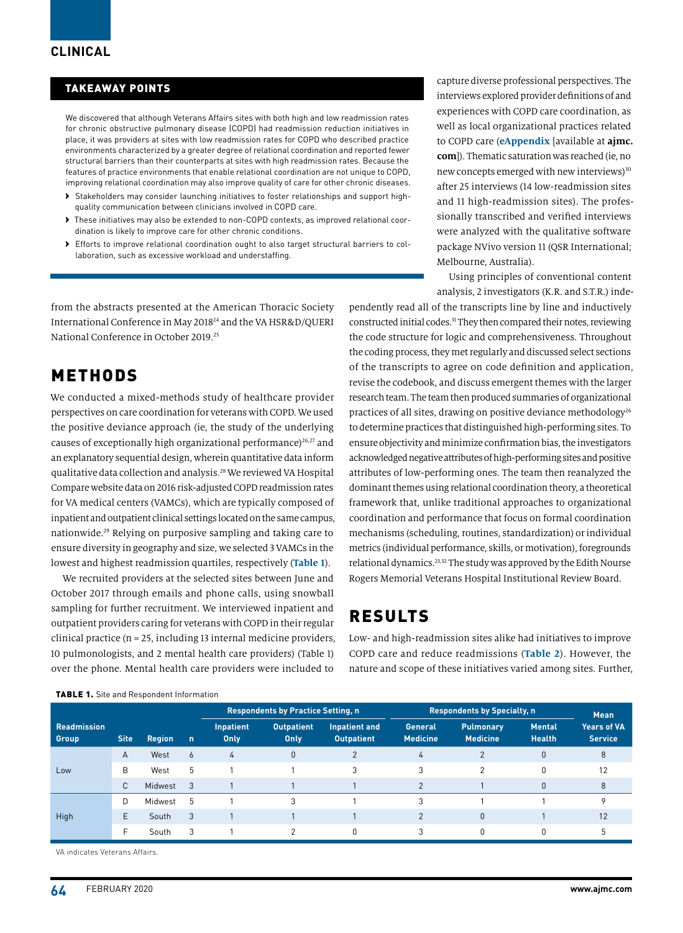#### TAKEAWAY POINTS

We discovered that although Veterans Affairs sites with both high and low readmission rates for chronic obstructive pulmonary disease (COPD) had readmission reduction initiatives in place, it was providers at sites with low readmission rates for COPD who described practice environments characterized by a greater degree of relational coordination and reported fewer structural barriers than their counterparts at sites with high readmission rates. Because the features of practice environments that enable relational coordination are not unique to COPD, improving relational coordination may also improve quality of care for other chronic diseases.

- › Stakeholders may consider launching initiatives to foster relationships and support highquality communication between clinicians involved in COPD care.
- › These initiatives may also be extended to non-COPD contexts, as improved relational coordination is likely to improve care for other chronic conditions.
- › Efforts to improve relational coordination ought to also target structural barriers to collaboration, such as excessive workload and understaffing.

from the abstracts presented at the American Thoracic Society International Conference in May 201824 and the VA HSR&D/QUERI National Conference in October 2019.25

### METHODS

We conducted a mixed-methods study of healthcare provider perspectives on care coordination for veterans with COPD. We used the positive deviance approach (ie, the study of the underlying causes of exceptionally high organizational performance)<sup>26,27</sup> and an explanatory sequential design, wherein quantitative data inform qualitative data collection and analysis.28 We reviewed VA Hospital Compare website data on 2016 risk-adjusted COPD readmission rates for VA medical centers (VAMCs), which are typically composed of inpatient and outpatient clinical settings located on the same campus, nationwide.29 Relying on purposive sampling and taking care to ensure diversity in geography and size, we selected 3 VAMCs in the lowest and highest readmission quartiles, respectively (**Table 1**).

We recruited providers at the selected sites between June and October 2017 through emails and phone calls, using snowball sampling for further recruitment. We interviewed inpatient and outpatient providers caring for veterans with COPD in their regular clinical practice (n = 25, including 13 internal medicine providers, 10 pulmonologists, and 2 mental health care providers) (Table 1) over the phone. Mental health care providers were included to

capture diverse professional perspectives. The interviews explored provider definitions of and experiences with COPD care coordination, as well as local organizational practices related to COPD care (**eAppendix** [available at **ajmc. com**]). Thematic saturation was reached (ie, no new concepts emerged with new interviews)<sup>30</sup> after 25 interviews (14 low-readmission sites and 11 high-readmission sites). The professionally transcribed and verified interviews were analyzed with the qualitative software package NVivo version 11 (QSR International; Melbourne, Australia).

Using principles of conventional content analysis, 2 investigators (K.R. and S.T.R.) inde-

pendently read all of the transcripts line by line and inductively constructed initial codes.<sup>31</sup> They then compared their notes, reviewing the code structure for logic and comprehensiveness. Throughout the coding process, they met regularly and discussed select sections of the transcripts to agree on code definition and application, revise the codebook, and discuss emergent themes with the larger research team. The team then produced summaries of organizational practices of all sites, drawing on positive deviance methodology<sup>26</sup> to determine practices that distinguished high-performing sites. To ensure objectivity and minimize confirmation bias, the investigators acknowledged negative attributes of high-performing sites and positive attributes of low-performing ones. The team then reanalyzed the dominant themes using relational coordination theory, a theoretical framework that, unlike traditional approaches to organizational coordination and performance that focus on formal coordination mechanisms (scheduling, routines, standardization) or individual metrics (individual performance, skills, or motivation), foregrounds relational dynamics.23,32 The study was approved by the Edith Nourse Rogers Memorial Veterans Hospital Institutional Review Board.

# RESULTS

Low- and high-readmission sites alike had initiatives to improve COPD care and reduce readmissions (**Table 2**). However, the nature and scope of these initiatives varied among sites. Further,

|                             |             |               |                | <b>Respondents by Practice Setting, n</b> |                           |                                           | <b>Respondents by Specialty, n</b> |                                     |                                | <b>Mean</b>                          |
|-----------------------------|-------------|---------------|----------------|-------------------------------------------|---------------------------|-------------------------------------------|------------------------------------|-------------------------------------|--------------------------------|--------------------------------------|
| <b>Readmission</b><br>Group | <b>Site</b> | <b>Region</b> | $\overline{p}$ | Inpatient<br>Only                         | <b>Outpatient</b><br>Only | <b>Inpatient and</b><br><b>Outpatient</b> | General<br><b>Medicine</b>         | <b>Pulmonary</b><br><b>Medicine</b> | <b>Mental</b><br><b>Health</b> | <b>Years of VA</b><br><b>Service</b> |
| Low                         | A           | West          | 6              | 4                                         | $\Omega$                  | $\Omega$                                  | 4                                  | $\overline{2}$                      | $\Omega$                       | 8                                    |
|                             | B           | West          | 5              |                                           |                           | 3                                         | 3                                  | 2                                   | 0                              | 12                                   |
|                             | C           | Midwest       | $\mathbf{3}$   |                                           |                           |                                           | $\overline{2}$                     |                                     | $\Omega$                       | 8                                    |
| High                        | D           | Midwest       | 5              |                                           | 3                         |                                           | 3                                  |                                     |                                | Q                                    |
|                             | E           | South         | 3              |                                           |                           |                                           | $\overline{2}$                     | $\mathbf{0}$                        |                                | 12                                   |
|                             |             | South         | 3              |                                           | <sup>2</sup>              | 0                                         | 3                                  | 0                                   | 0                              | 5                                    |

VA indicates Veterans Affairs.

TABLE 1. Site and Respondent Information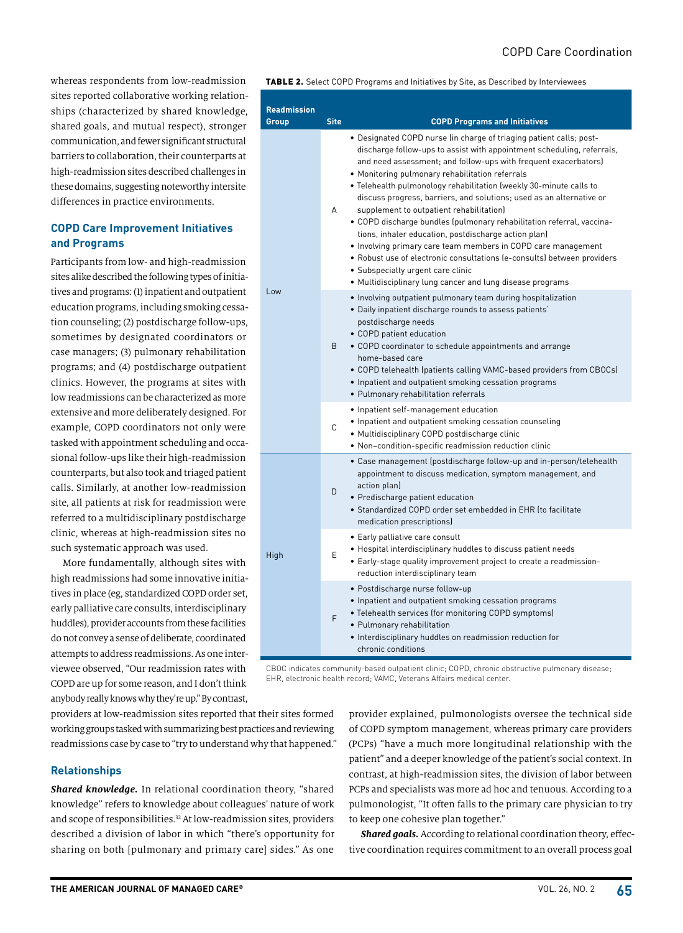whereas respondents from low-readmission sites reported collaborative working relationships (characterized by shared knowledge, shared goals, and mutual respect), stronger communication, and fewer significant structural barriers to collaboration, their counterparts at high-readmission sites described challenges in these domains, suggesting noteworthy intersite differences in practice environments.

#### **COPD Care Improvement Initiatives and Programs**

Participants from low- and high-readmission sites alike described the following types of initiatives and programs: (1) inpatient and outpatient education programs, including smoking cessation counseling; (2) postdischarge follow-ups, sometimes by designated coordinators or case managers; (3) pulmonary rehabilitation programs; and (4) postdischarge outpatient clinics. However, the programs at sites with low readmissions can be characterized as more extensive and more deliberately designed. For example, COPD coordinators not only were tasked with appointment scheduling and occasional follow-ups like their high-readmission counterparts, but also took and triaged patient calls. Similarly, at another low-readmission site, all patients at risk for readmission were referred to a multidisciplinary postdischarge clinic, whereas at high-readmission sites no such systematic approach was used.

More fundamentally, although sites with high readmissions had some innovative initiatives in place (eg, standardized COPD order set, early palliative care consults, interdisciplinary huddles), provider accounts from these facilities do not convey a sense of deliberate, coordinated attempts to address readmissions. As one interviewee observed, "Our readmission rates with COPD are up for some reason, and I don't think anybody really knows why they're up." By contrast,

TABLE 2. Select COPD Programs and Initiatives by Site, as Described by Interviewees

| <b>Readmission</b><br>Group | <b>Site</b> | <b>COPD Programs and Initiatives</b>                                                                                                                                                                                                                                                                                                                                                                                                                                                                                                                                                                                                                                                                                                                                                                                                         |  |  |
|-----------------------------|-------------|----------------------------------------------------------------------------------------------------------------------------------------------------------------------------------------------------------------------------------------------------------------------------------------------------------------------------------------------------------------------------------------------------------------------------------------------------------------------------------------------------------------------------------------------------------------------------------------------------------------------------------------------------------------------------------------------------------------------------------------------------------------------------------------------------------------------------------------------|--|--|
|                             | А           | • Designated COPD nurse (in charge of triaging patient calls; post-<br>discharge follow-ups to assist with appointment scheduling, referrals,<br>and need assessment; and follow-ups with frequent exacerbators)<br>• Monitoring pulmonary rehabilitation referrals<br>. Telehealth pulmonology rehabilitation (weekly 30-minute calls to<br>discuss progress, barriers, and solutions; used as an alternative or<br>supplement to outpatient rehabilitation)<br>• COPD discharge bundles (pulmonary rehabilitation referral, vaccina-<br>tions, inhaler education, postdischarge action plan)<br>• Involving primary care team members in COPD care management<br>• Robust use of electronic consultations (e-consults) between providers<br>• Subspecialty urgent care clinic<br>• Multidisciplinary lung cancer and lung disease programs |  |  |
| Low                         | B.          | • Involving outpatient pulmonary team during hospitalization<br>· Daily inpatient discharge rounds to assess patients'<br>postdischarge needs<br>• COPD patient education<br>• COPD coordinator to schedule appointments and arrange<br>home-based care<br>• COPD telehealth (patients calling VAMC-based providers from CBOCs)<br>• Inpatient and outpatient smoking cessation programs<br>• Pulmonary rehabilitation referrals                                                                                                                                                                                                                                                                                                                                                                                                             |  |  |
|                             | C           | • Inpatient self-management education<br>• Inpatient and outpatient smoking cessation counseling<br>· Multidisciplinary COPD postdischarge clinic<br>• Non-condition-specific readmission reduction clinic                                                                                                                                                                                                                                                                                                                                                                                                                                                                                                                                                                                                                                   |  |  |
|                             | D           | • Case management (postdischarge follow-up and in-person/telehealth<br>appointment to discuss medication, symptom management, and<br>action plan)<br>• Predischarge patient education<br>• Standardized COPD order set embedded in EHR (to facilitate<br>medication prescriptions)                                                                                                                                                                                                                                                                                                                                                                                                                                                                                                                                                           |  |  |
| High                        | E           | • Early palliative care consult<br>• Hospital interdisciplinary huddles to discuss patient needs<br>• Early-stage quality improvement project to create a readmission-<br>reduction interdisciplinary team                                                                                                                                                                                                                                                                                                                                                                                                                                                                                                                                                                                                                                   |  |  |
|                             | F           | · Postdischarge nurse follow-up<br>• Inpatient and outpatient smoking cessation programs<br>• Telehealth services (for monitoring COPD symptoms)<br>• Pulmonary rehabilitation<br>• Interdisciplinary huddles on readmission reduction for<br>chronic conditions                                                                                                                                                                                                                                                                                                                                                                                                                                                                                                                                                                             |  |  |

CBOC indicates community-based outpatient clinic; COPD, chronic obstructive pulmonary disease; EHR, electronic health record; VAMC, Veterans Affairs medical center.

providers at low-readmission sites reported that their sites formed working groups tasked with summarizing best practices and reviewing readmissions case by case to "try to understand why that happened."

**Relationships**

*Shared knowledge.* In relational coordination theory, "shared knowledge" refers to knowledge about colleagues' nature of work and scope of responsibilities.<sup>32</sup> At low-readmission sites, providers described a division of labor in which "there's opportunity for sharing on both [pulmonary and primary care] sides." As one

provider explained, pulmonologists oversee the technical side of COPD symptom management, whereas primary care providers (PCPs) "have a much more longitudinal relationship with the patient" and a deeper knowledge of the patient's social context. In contrast, at high-readmission sites, the division of labor between PCPs and specialists was more ad hoc and tenuous. According to a pulmonologist, "It often falls to the primary care physician to try to keep one cohesive plan together."

*Shared goals.* According to relational coordination theory, effective coordination requires commitment to an overall process goal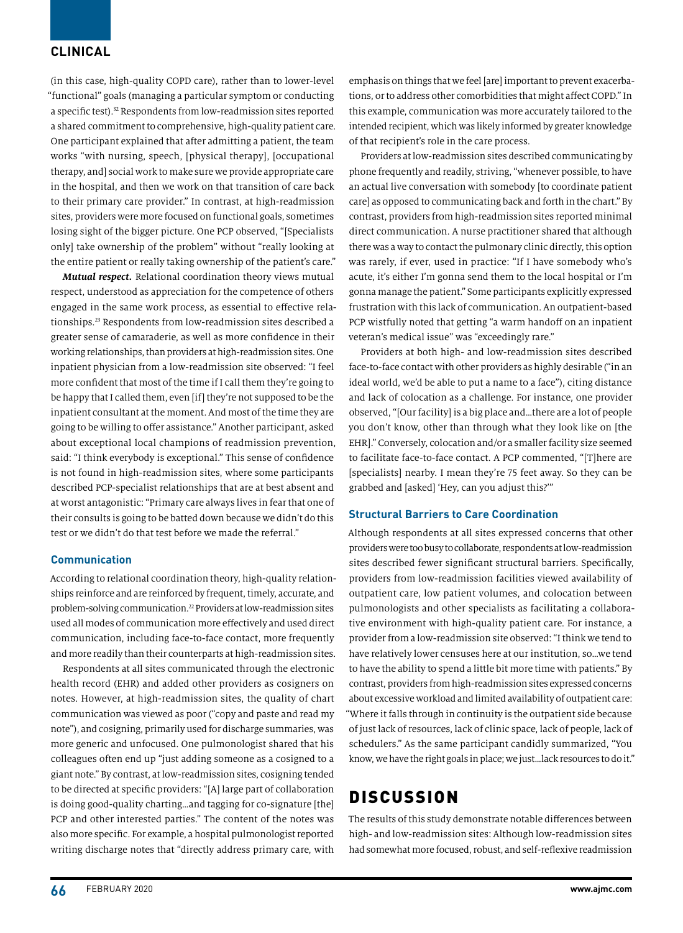### **CLINICAL**

(in this case, high-quality COPD care), rather than to lower-level "functional" goals (managing a particular symptom or conducting a specific test).32 Respondents from low-readmission sites reported a shared commitment to comprehensive, high-quality patient care. One participant explained that after admitting a patient, the team works "with nursing, speech, [physical therapy], [occupational therapy, and] social work to make sure we provide appropriate care in the hospital, and then we work on that transition of care back to their primary care provider." In contrast, at high-readmission sites, providers were more focused on functional goals, sometimes losing sight of the bigger picture. One PCP observed, "[Specialists only] take ownership of the problem" without "really looking at the entire patient or really taking ownership of the patient's care."

*Mutual respect.* Relational coordination theory views mutual respect, understood as appreciation for the competence of others engaged in the same work process, as essential to effective relationships.23 Respondents from low-readmission sites described a greater sense of camaraderie, as well as more confidence in their working relationships, than providers at high-readmission sites. One inpatient physician from a low-readmission site observed: "I feel more confident that most of the time if I call them they're going to be happy that I called them, even [if] they're not supposed to be the inpatient consultant at the moment. And most of the time they are going to be willing to offer assistance." Another participant, asked about exceptional local champions of readmission prevention, said: "I think everybody is exceptional." This sense of confidence is not found in high-readmission sites, where some participants described PCP-specialist relationships that are at best absent and at worst antagonistic: "Primary care always lives in fear that one of their consults is going to be batted down because we didn't do this test or we didn't do that test before we made the referral."

#### **Communication**

According to relational coordination theory, high-quality relationships reinforce and are reinforced by frequent, timely, accurate, and problem-solving communication.22 Providers at low-readmission sites used all modes of communication more effectively and used direct communication, including face-to-face contact, more frequently and more readily than their counterparts at high-readmission sites.

Respondents at all sites communicated through the electronic health record (EHR) and added other providers as cosigners on notes. However, at high-readmission sites, the quality of chart communication was viewed as poor ("copy and paste and read my note"), and cosigning, primarily used for discharge summaries, was more generic and unfocused. One pulmonologist shared that his colleagues often end up "just adding someone as a cosigned to a giant note." By contrast, at low-readmission sites, cosigning tended to be directed at specific providers: "[A] large part of collaboration is doing good-quality charting…and tagging for co-signature [the] PCP and other interested parties." The content of the notes was also more specific. For example, a hospital pulmonologist reported writing discharge notes that "directly address primary care, with

emphasis on things that we feel [are] important to prevent exacerbations, or to address other comorbidities that might affect COPD." In this example, communication was more accurately tailored to the intended recipient, which was likely informed by greater knowledge of that recipient's role in the care process.

Providers at low-readmission sites described communicating by phone frequently and readily, striving, "whenever possible, to have an actual live conversation with somebody [to coordinate patient care] as opposed to communicating back and forth in the chart." By contrast, providers from high-readmission sites reported minimal direct communication. A nurse practitioner shared that although there was a way to contact the pulmonary clinic directly, this option was rarely, if ever, used in practice: "If I have somebody who's acute, it's either I'm gonna send them to the local hospital or I'm gonna manage the patient." Some participants explicitly expressed frustration with this lack of communication. An outpatient-based PCP wistfully noted that getting "a warm handoff on an inpatient veteran's medical issue" was "exceedingly rare."

Providers at both high- and low-readmission sites described face-to-face contact with other providers as highly desirable ("in an ideal world, we'd be able to put a name to a face"), citing distance and lack of colocation as a challenge. For instance, one provider observed, "[Our facility] is a big place and…there are a lot of people you don't know, other than through what they look like on [the EHR]." Conversely, colocation and/or a smaller facility size seemed to facilitate face-to-face contact. A PCP commented, "[T]here are [specialists] nearby. I mean they're 75 feet away. So they can be grabbed and [asked] 'Hey, can you adjust this?'"

#### **Structural Barriers to Care Coordination**

Although respondents at all sites expressed concerns that other providers were too busy to collaborate, respondents at low-readmission sites described fewer significant structural barriers. Specifically, providers from low-readmission facilities viewed availability of outpatient care, low patient volumes, and colocation between pulmonologists and other specialists as facilitating a collaborative environment with high-quality patient care. For instance, a provider from a low-readmission site observed: "I think we tend to have relatively lower censuses here at our institution, so…we tend to have the ability to spend a little bit more time with patients." By contrast, providers from high-readmission sites expressed concerns about excessive workload and limited availability of outpatient care: "Where it falls through in continuity is the outpatient side because of just lack of resources, lack of clinic space, lack of people, lack of schedulers." As the same participant candidly summarized, "You know, we have the right goals in place; we just…lack resources to do it."

# DISCUSSION

The results of this study demonstrate notable differences between high- and low-readmission sites: Although low-readmission sites had somewhat more focused, robust, and self-reflexive readmission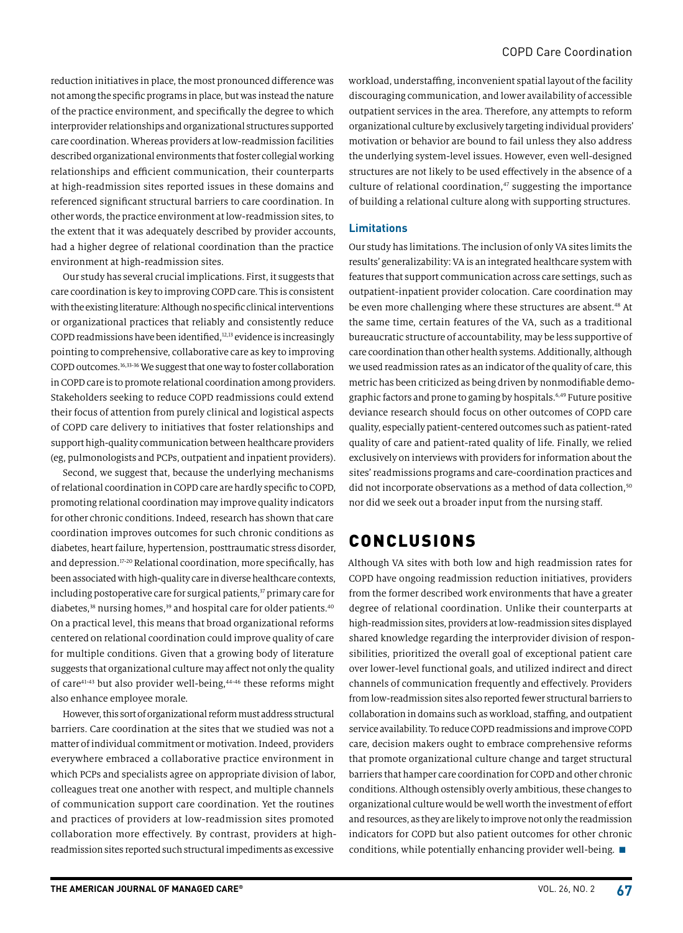reduction initiatives in place, the most pronounced difference was not among the specific programs in place, but was instead the nature of the practice environment, and specifically the degree to which interprovider relationships and organizational structures supported care coordination. Whereas providers at low-readmission facilities described organizational environments that foster collegial working relationships and efficient communication, their counterparts at high-readmission sites reported issues in these domains and referenced significant structural barriers to care coordination. In other words, the practice environment at low-readmission sites, to the extent that it was adequately described by provider accounts, had a higher degree of relational coordination than the practice environment at high-readmission sites.

Our study has several crucial implications. First, it suggests that care coordination is key to improving COPD care. This is consistent with the existing literature: Although no specific clinical interventions or organizational practices that reliably and consistently reduce COPD readmissions have been identified,<sup>12,13</sup> evidence is increasingly pointing to comprehensive, collaborative care as key to improving COPD outcomes.16,33-36 We suggest that one way to foster collaboration in COPD care is to promote relational coordination among providers. Stakeholders seeking to reduce COPD readmissions could extend their focus of attention from purely clinical and logistical aspects of COPD care delivery to initiatives that foster relationships and support high-quality communication between healthcare providers (eg, pulmonologists and PCPs, outpatient and inpatient providers).

Second, we suggest that, because the underlying mechanisms of relational coordination in COPD care are hardly specific to COPD, promoting relational coordination may improve quality indicators for other chronic conditions. Indeed, research has shown that care coordination improves outcomes for such chronic conditions as diabetes, heart failure, hypertension, posttraumatic stress disorder, and depression.<sup>17-20</sup> Relational coordination, more specifically, has been associated with high-quality care in diverse healthcare contexts, including postoperative care for surgical patients,<sup>37</sup> primary care for diabetes,<sup>38</sup> nursing homes,<sup>39</sup> and hospital care for older patients.<sup>40</sup> On a practical level, this means that broad organizational reforms centered on relational coordination could improve quality of care for multiple conditions. Given that a growing body of literature suggests that organizational culture may affect not only the quality of care41-43 but also provider well-being,44-46 these reforms might also enhance employee morale.

However, this sort of organizational reform must address structural barriers. Care coordination at the sites that we studied was not a matter of individual commitment or motivation. Indeed, providers everywhere embraced a collaborative practice environment in which PCPs and specialists agree on appropriate division of labor, colleagues treat one another with respect, and multiple channels of communication support care coordination. Yet the routines and practices of providers at low-readmission sites promoted collaboration more effectively. By contrast, providers at highreadmission sites reported such structural impediments as excessive

workload, understaffing, inconvenient spatial layout of the facility discouraging communication, and lower availability of accessible outpatient services in the area. Therefore, any attempts to reform organizational culture by exclusively targeting individual providers' motivation or behavior are bound to fail unless they also address the underlying system-level issues. However, even well-designed structures are not likely to be used effectively in the absence of a culture of relational coordination,<sup>47</sup> suggesting the importance of building a relational culture along with supporting structures.

#### **Limitations**

Our study has limitations. The inclusion of only VA sites limits the results' generalizability: VA is an integrated healthcare system with features that support communication across care settings, such as outpatient-inpatient provider colocation. Care coordination may be even more challenging where these structures are absent.<sup>48</sup> At the same time, certain features of the VA, such as a traditional bureaucratic structure of accountability, may be less supportive of care coordination than other health systems. Additionally, although we used readmission rates as an indicator of the quality of care, this metric has been criticized as being driven by nonmodifiable demographic factors and prone to gaming by hospitals.<sup>6,49</sup> Future positive deviance research should focus on other outcomes of COPD care quality, especially patient-centered outcomes such as patient-rated quality of care and patient-rated quality of life. Finally, we relied exclusively on interviews with providers for information about the sites' readmissions programs and care-coordination practices and did not incorporate observations as a method of data collection,<sup>50</sup> nor did we seek out a broader input from the nursing staff.

# CONCLUSIONS

Although VA sites with both low and high readmission rates for COPD have ongoing readmission reduction initiatives, providers from the former described work environments that have a greater degree of relational coordination. Unlike their counterparts at high-readmission sites, providers at low-readmission sites displayed shared knowledge regarding the interprovider division of responsibilities, prioritized the overall goal of exceptional patient care over lower-level functional goals, and utilized indirect and direct channels of communication frequently and effectively. Providers from low-readmission sites also reported fewer structural barriers to collaboration in domains such as workload, staffing, and outpatient service availability. To reduce COPD readmissions and improve COPD care, decision makers ought to embrace comprehensive reforms that promote organizational culture change and target structural barriers that hamper care coordination for COPD and other chronic conditions. Although ostensibly overly ambitious, these changes to organizational culture would be well worth the investment of effort and resources, as they are likely to improve not only the readmission indicators for COPD but also patient outcomes for other chronic conditions, while potentially enhancing provider well-being.  $\blacksquare$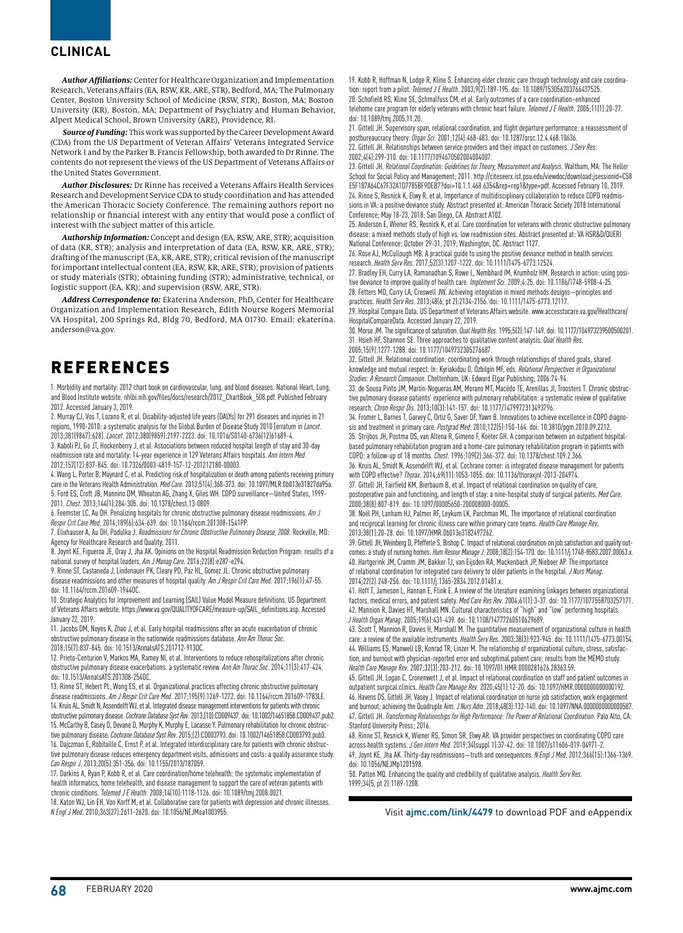#### **CLINICAL**

*Author Affiliations:* Center for Healthcare Organization and Implementation Research, Veterans Affairs (EA, RSW, KR, ARE, STR), Bedford, MA; The Pulmonary Center, Boston University School of Medicine (RSW, STR), Boston, MA; Boston University (KR), Boston, MA; Department of Psychiatry and Human Behavior, Alpert Medical School, Brown University (ARE), Providence, RI.

*Source of Funding:* This work was supported by the Career Development Award (CDA) from the US Department of Veteran Affairs' Veterans Integrated Service Network 1 and by the Parker B. Francis Fellowship, both awarded to Dr Rinne. The contents do not represent the views of the US Department of Veterans Affairs or the United States Government.

*Author Disclosures:* Dr Rinne has received a Veterans Affairs Health Services Research and Development Service CDA to study coordination and has attended the American Thoracic Society Conference. The remaining authors report no relationship or financial interest with any entity that would pose a conflict of interest with the subject matter of this article.

*Authorship Information:* Concept and design (EA, RSW, ARE, STR); acquisition of data (KR, STR); analysis and interpretation of data (EA, RSW, KR, ARE, STR); drafting of the manuscript (EA, KR, ARE, STR); critical revision of the manuscript for important intellectual content (EA, RSW, KR, ARE, STR); provision of patients or study materials (STR); obtaining funding (STR); administrative, technical, or logistic support (EA, KR); and supervision (RSW, ARE, STR).

*Address Correspondence to:* Ekaterina Anderson, PhD, Center for Healthcare Organization and Implementation Research, Edith Nourse Rogers Memorial VA Hospital, 200 Springs Rd, Bldg 70, Bedford, MA 01730. Email: ekaterina. anderson@va.gov.

# REFERENCES

1. Morbidity and mortality: 2012 chart book on cardiovascular, lung, and blood diseases. National Heart, Lung, and Blood Institute website. nhlbi.nih.gov/files/docs/research/2012\_ChartBook\_508.pdf. Published February 2012. Accessed January 3, 2019.

2. Murray CJ, Vos T, Lozano R, et al. Disability-adjusted life years (DALYs) for 291 diseases and injuries in 21 regions, 1990-2010: a systematic analysis for the Global Burden of Disease Study 2010 [erratum in *Lancet*. 2013;381(9867):628]. *Lancet*. 2012;380(9859):2197-2223. doi: 10.1016/S0140-6736(12)61689-4.

3. Kaboli PJ, Go JT, Hockenberry J, et al. Associations between reduced hospital length of stay and 30-day readmission rate and mortality: 14-year experience in 129 Veterans Affairs hospitals. *Ann Intern Med*. 2012;157(12):837-845. doi: 10.7326/0003-4819-157-12-201212180-00003.

4. Wang L, Porter B, Maynard C, et al. Predicting risk of hospitalization or death among patients receiving primary care in the Veterans Health Administration. *Med Care*. 2013;51(4):368-373. doi: 10.1097/MLR.0b013e31827da95a. 5. Ford ES, Croft JB, Mannino DM, Wheaton AG, Zhang X, Giles WH. COPD surveillance—United States, 1999- 2011. *Chest*. 2013;144(1):284-305. doi: 10.1378/chest.13-0809.

6. Feemster LC, Au DH. Penalizing hospitals for chronic obstructive pulmonary disease readmissions. *Am J Respir Crit Care Med*. 2014;189(6):634-639. doi: 10.1164/rccm.201308-1541PP.

7. Elixhauser A, Au DH, Podulka J. *Readmissions for Chronic Obstructive Pulmonary Disease, 2008*. Rockville, MD: Agency for Healthcare Research and Quality; 2011.

8. Joynt KE, Figueroa JE, Oray J, Jha AK. Opinions on the Hospital Readmission Reduction Program: results of a national survey of hospital leaders. *Am J Manag Care*. 2016;22(8):e287-e294.

9. Rinne ST, Castaneda J, Lindenauer PK, Cleary PD, Paz HL, Gomez JL. Chronic obstructive pulmonary disease readmissions and other measures of hospital quality. *Am J Respir Crit Care Med*. 2017;196(1):47-55. doi: 10.1164/rccm.201609-1944OC.

10. Strategic Analytics for Improvement and Learning (SAIL) Value Model Measure definitions. US Department of Veterans Affairs website. https://www.va.gov/QUALITYOFCARE/measure-up/SAIL\_definitions.asp. Accessed January 22, 2019.

11. Jacobs DM, Noyes K, Zhao J, et al. Early hospital readmissions after an acute exacerbation of chronic obstructive pulmonary disease in the nationwide readmissions database. *Ann Am Thorac Soc*. 2018;15(7):837-845. doi: 10.1513/AnnalsATS.201712-913OC.

12. Prieto-Centurion V, Markos MA, Ramey NI, et al. Interventions to reduce rehospitalizations after chronic obstructive pulmonary disease exacerbations. a systematic review. *Ann Am Thorac Soc*. 2014;11(3):417-424. doi: 10.1513/AnnalsATS.201308-254OC.

13. Rinne ST, Hebert PL, Wong ES, et al. Organizational practices affecting chronic obstructive pulmonary disease readmissions. *Am J Respir Crit Care Med*. 2017;195(9):1269-1272. doi: 10.1164/rccm.201609-1783LE. 14. Kruis AL, Smidt N, Assendelft WJ, et al. Integrated disease management interventions for patients with chronic obstructive pulmonary disease. *Cochrane Database Syst Rev*. 2013;(10):CD009437. doi: 10.1002/14651858.CD009437.pub2. 15. McCarthy B, Casey D, Devane D, Murphy K, Murphy E, Lacasse Y. Pulmonary rehabilitation for chronic obstructive pulmonary disease. *Cochrane Database Syst Rev*. 2015;(2):CD003793. doi: 10.1002/14651858.CD003793.pub3. 16. Dajczman E, Robitaille C, Ernst P, et al. Integrated interdisciplinary care for patients with chronic obstructive pulmonary disease reduces emergency department visits, admissions and costs: a quality assurance study. *Can Respir J*. 2013;20(5):351-356. doi: 10.1155/2013/187059.

17. Darkins A, Ryan P, Kobb R, et al. Care coordination/home telehealth: the systematic implementation of health informatics, home telehealth, and disease management to support the care of veteran patients with chronic conditions. *Telemed J E Health*. 2008;14(10):1118-1126. doi: 10.1089/tmj.2008.0021.

18. Katon WJ, Lin EH, Von Korff M, et al. Collaborative care for patients with depression and chronic illnesses. *N Engl J Med*. 2010;363(27):2611-2620. doi: 10.1056/NEJMoa1003955.

19. Kobb R, Hoffman N, Lodge R, Kline S. Enhancing elder chronic care through technology and care coordination: report from a pilot. *Telemed J E Health*. 2003;9(2):189-195. doi: 10.1089/153056203766437525. 20. Schofield RS, Kline SE, Schmalfuss CM, et al. Early outcomes of a care coordination–enhanced telehome care program for elderly veterans with chronic heart failure. *Telemed J E Health*. 2005;11(1):20-27. doi: 10.1089/tmj.2005.11.20.

21. Gittell JH. Supervisory span, relational coordination, and flight departure performance: a reassessment of postbureaucracy theory. *Organ Sci*. 2001;12(4):468-483. doi: 10.1287/orsc.12.4.468.10636. 22. Gittell JH. Relationships between service providers and their impact on customers. *J Serv Res*. 2002;4(4):299-310. doi: 10.1177/1094670502004004007.

23. Gittell JH. *Relational Coordination: Guidelines for Theory, Measurement and Analysis*. Waltham, MA: The Heller School for Social Policy and Management; 2011. http://citeseerx.ist.psu.edu/viewdoc/download;jsessionid=C58 E5F187A64C67F32A1D7785BF9DEB7?doi=10.1.1.468.6354&rep=rep1&type=pdf. Accessed February 10, 2019. 24. Rinne S, Resnick K, Elwy R, et al. Importance of multidisciplinary collaboration to reduce COPD readmissions in VA: a positive deviance study. Abstract presented at: American Thoracic Society 2018 International Conference; May 18-23, 2018; San Diego, CA. Abstract A102.

25. Anderson E, Wiener RS, Resnick K, et al. Care coordination for veterans with chronic obstructive pulmonary disease: a mixed methods study of high vs. low readmission sites. Abstract presented at: VA HSR&D/QUERI National Conference; October 29-31, 2019; Washington, DC. Abstract 1127.

26. Rose AJ, McCullough MB. A practical guide to using the positive deviance method in health services research. *Health Serv Res*. 2017;52(3):1207-1222. doi: 10.1111/1475-6773.12524.

27. Bradley EH, Curry LA, Ramanadhan S, Rowe L, Nembhard IM, Krumholz HM. Research in action: using positive deviance to improve quality of health care. *Implement Sci*. 2009;4:25. doi: 10.1186/1748-5908-4-25. 28. Fetters MD, Curry LA, Creswell JW. Achieving integration in mixed methods designs—principles and practices. *Health Serv Res*. 2013;48(6, pt 2):2134-2156. doi: 10.1111/1475-6773.12117.

29. Hospital Compare Data. US Department of Veterans Affairs website. www.accesstocare.va.gov/Healthcare/ HospitalCompareData. Accessed January 22, 2019.

30. Morse JM. The significance of saturation. *Qual Health Res*. 1995;5(2):147-149. doi: 10.1177/104973239500500201. 31. Hsieh HF, Shannon SE. Three approaches to qualitative content analysis. *Qual Health Res*. 2005;15(9):1277-1288. doi: 10.1177/1049732305276687.

32. Gittell JH. Relational coordination: coordinating work through relationships of shared goals, shared knowledge and mutual respect. In: Kyriakidou O, Özbilgin MF, eds. *Relational Perspectives in Organizational Studies: A Research Companion*. Cheltenham, UK: Edward Elgar Publishing; 2006:74-94.

33. de Sousa Pinto JM, Martín-Nogueras AM, Morano MT, Macêdo TE, Arenillas JI, Troosters T. Chronic obstructive pulmonary disease patients' experience with pulmonary rehabilitation: a systematic review of qualitative research. *Chron Respir Dis*. 2013;10(3):141-157. doi: 10.1177/1479972313493796.

34. Fromer L, Barnes T, Garvey C, Ortiz G, Saver DF, Yawn B. Innovations to achieve excellence in COPD diagnosis and treatment in primary care. *Postgrad Med*. 2010;122(5):150-164. doi: 10.3810/pgm.2010.09.2212. 35. Strijbos JH, Postma DS, van Altena R, Gimeno F, Koëter GH. A comparison between an outpatient hospitalbased pulmonary rehabilitation program and a home-care pulmonary rehabilitation program in patients with COPD: a follow-up of 18 months. *Chest*. 1996;109(2):366-372. doi: 10.1378/chest.109.2.366.

36. Kruis AL, Smidt N, Assendelft WJ, et al. Cochrane corner: is integrated disease management for patients with COPD effective? *Thorax*. 2014;69(11):1053-1055. doi: 10.1136/thoraxjnl-2013-204974.

37. Gittell JH, Fairfield KM, Bierbaum B, et al. Impact of relational coordination on quality of care, postoperative pain and functioning, and length of stay: a nine-hospital study of surgical patients. *Med Care*. 2000;38(8):807-819. doi: 10.1097/00005650-200008000-00005.

38. Noël PH, Lanham HJ, Palmer RF, Leykum LK, Parchman ML. The importance of relational coordination and reciprocal learning for chronic illness care within primary care teams. *Health Care Manage Rev*. 2013;38(1):20-28. doi: 10.1097/HMR.0b013e3182497262.

39. Gittell JH, Weinberg D, Pfefferle S, Bishop C. Impact of relational coordination on job satisfaction and quality outcomes: a study of nursing homes. *Hum Resour Manage J*. 2008;18(2):154-170. doi: 10.1111/j.1748-8583.2007.00063.x. 40. Hartgerink JM, Cramm JM, Bakker TJ, van Eijsden RA, Mackenbach JP, Nieboer AP. The importance of relational coordination for integrated care delivery to older patients in the hospital. *J Nurs Manag*. 2014;22(2):248-256. doi: 10.1111/j.1365-2834.2012.01481.x.

41. Hoff T, Jameson L, Hannan E, Flink E. A review of the literature examining linkages between organizational factors, medical errors, and patient safety. *Med Care Res Rev*. 2004;61(1):3-37. doi: 10.1177/1077558703257171. 42. Mannion R, Davies HT, Marshall MN. Cultural characteristics of "high" and "low" performing hospitals. *J Health Organ Manag*. 2005;19(6):431-439. doi: 10.1108/14777260510629689.

43. Scott T, Mannion R, Davies H, Marshall M. The quantitative measurement of organizational culture in health care: a review of the available instruments. *Health Serv Res*. 2003;38(3):923-945. doi: 10.1111/1475-6773.00154. 44. Williams ES, Manwell LB, Konrad TR, Linzer M. The relationship of organizational culture, stress, satisfaction, and burnout with physician-reported error and suboptimal patient care: results from the MEMO study. *Health Care Manage Rev*. 2007;32(3):203-212. doi: 10.1097/01.HMR.0000281626.28363.59.

45. Gittell JH, Logan C, Cronenwett J, et al. Impact of relational coordination on staff and patient outcomes in outpatient surgical clinics. *Health Care Manage Rev*. 2020;45(1):12-20. doi: 10.1097/HMR.0000000000000192. 46. Havens DS, Gittell JH, Vasey J. Impact of relational coordination on nurse job satisfaction, work engagement and burnout: achieving the Quadruple Aim. *J Nurs Adm*. 2018;48(3):132-140. doi: 10.1097/NNA.0000000000000587. 47. Gittell JH. *Transforming Relationships for High Performance: The Power of Relational Coordination*. Palo Alto, CA: Stanford University Press; 2016.

48. Rinne ST, Resnick K, Wiener RS, Simon SR, Elwy AR. VA provider perspectives on coordinating COPD care across health systems. *J Gen Intern Med*. 2019;34(suppl 1):37-42. doi: 10.1007/s11606-019-04971-2. 49. Joynt KE, Jha AK. Thirty-day readmissions—truth and consequences. *N Engl J Med*. 2012;366(15):1366-1369. doi: 10.1056/NEJMp1201598.

50. Patton MQ. Enhancing the quality and credibility of qualitative analysis. *Health Serv Res*. 1999;34(5, pt 2):1189-1208.

Visit **ajmc.com/link/4479** to download PDF and eAppendix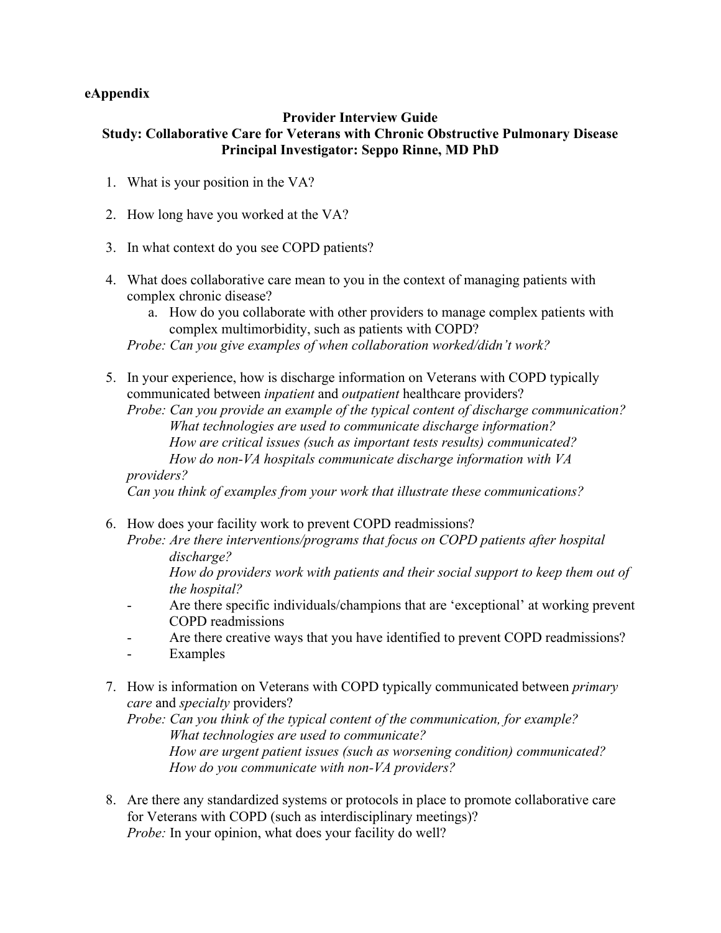### **eAppendix**

### **Provider Interview Guide Study: Collaborative Care for Veterans with Chronic Obstructive Pulmonary Disease Principal Investigator: Seppo Rinne, MD PhD**

- 1. What is your position in the VA?
- 2. How long have you worked at the VA?
- 3. In what context do you see COPD patients?
- 4. What does collaborative care mean to you in the context of managing patients with complex chronic disease?
	- a. How do you collaborate with other providers to manage complex patients with complex multimorbidity, such as patients with COPD?

*Probe: Can you give examples of when collaboration worked/didn't work?*

5. In your experience, how is discharge information on Veterans with COPD typically communicated between *inpatient* and *outpatient* healthcare providers?

*Probe: Can you provide an example of the typical content of discharge communication? What technologies are used to communicate discharge information? How are critical issues (such as important tests results) communicated? How do non-VA hospitals communicate discharge information with VA* 

*providers?*

*Can you think of examples from your work that illustrate these communications?*

6. How does your facility work to prevent COPD readmissions? *Probe: Are there interventions/programs that focus on COPD patients after hospital discharge?*

*How do providers work with patients and their social support to keep them out of the hospital?*

- Are there specific individuals/champions that are 'exceptional' at working prevent COPD readmissions
- Are there creative ways that you have identified to prevent COPD readmissions?
- Examples
- 7. How is information on Veterans with COPD typically communicated between *primary care* and *specialty* providers?

*Probe: Can you think of the typical content of the communication, for example? What technologies are used to communicate? How are urgent patient issues (such as worsening condition) communicated? How do you communicate with non-VA providers?*

8. Are there any standardized systems or protocols in place to promote collaborative care for Veterans with COPD (such as interdisciplinary meetings)? *Probe:* In your opinion, what does your facility do well?